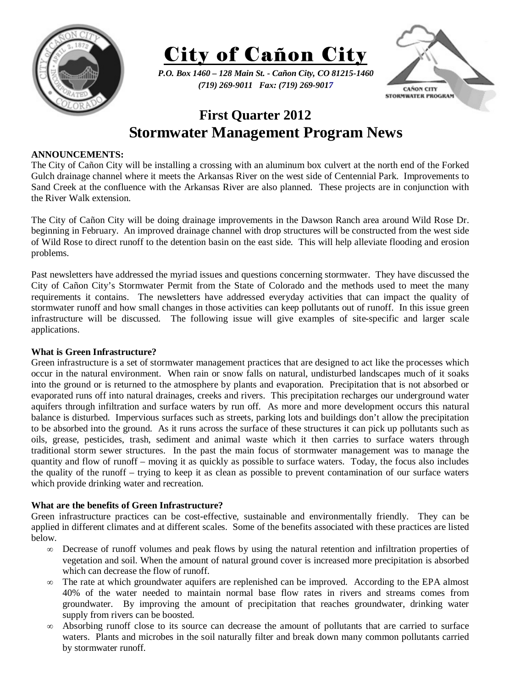



*P.O. Box 1460 – 128 Main St. - Cañon City, CO 81215-1460 (719) 269-9011 Fax: (719) 269-9017* 



## **First Quarter 2012 Stormwater Management Program News**

## **ANNOUNCEMENTS:**

The City of Cañon City will be installing a crossing with an aluminum box culvert at the north end of the Forked Gulch drainage channel where it meets the Arkansas River on the west side of Centennial Park. Improvements to Sand Creek at the confluence with the Arkansas River are also planned. These projects are in conjunction with the River Walk extension.

The City of Cañon City will be doing drainage improvements in the Dawson Ranch area around Wild Rose Dr. beginning in February. An improved drainage channel with drop structures will be constructed from the west side of Wild Rose to direct runoff to the detention basin on the east side. This will help alleviate flooding and erosion problems.

Past newsletters have addressed the myriad issues and questions concerning stormwater. They have discussed the City of Cañon City's Stormwater Permit from the State of Colorado and the methods used to meet the many requirements it contains. The newsletters have addressed everyday activities that can impact the quality of stormwater runoff and how small changes in those activities can keep pollutants out of runoff. In this issue green infrastructure will be discussed. The following issue will give examples of site-specific and larger scale applications.

## **What is Green Infrastructure?**

Green infrastructure is a set of stormwater management practices that are designed to act like the processes which occur in the natural environment. When rain or snow falls on natural, undisturbed landscapes much of it soaks into the ground or is returned to the atmosphere by plants and evaporation. Precipitation that is not absorbed or evaporated runs off into natural drainages, creeks and rivers. This precipitation recharges our underground water aquifers through infiltration and surface waters by run off. As more and more development occurs this natural balance is disturbed. Impervious surfaces such as streets, parking lots and buildings don't allow the precipitation to be absorbed into the ground. As it runs across the surface of these structures it can pick up pollutants such as oils, grease, pesticides, trash, sediment and animal waste which it then carries to surface waters through traditional storm sewer structures. In the past the main focus of stormwater management was to manage the quantity and flow of runoff – moving it as quickly as possible to surface waters. Today, the focus also includes the quality of the runoff – trying to keep it as clean as possible to prevent contamination of our surface waters which provide drinking water and recreation.

## **What are the benefits of Green Infrastructure?**

Green infrastructure practices can be cost-effective, sustainable and environmentally friendly. They can be applied in different climates and at different scales. Some of the benefits associated with these practices are listed below.

- ∞ Decrease of runoff volumes and peak flows by using the natural retention and infiltration properties of vegetation and soil. When the amount of natural ground cover is increased more precipitation is absorbed which can decrease the flow of runoff.
- ∞ The rate at which groundwater aquifers are replenished can be improved. According to the EPA almost 40% of the water needed to maintain normal base flow rates in rivers and streams comes from groundwater. By improving the amount of precipitation that reaches groundwater, drinking water supply from rivers can be boosted.
- ∞ Absorbing runoff close to its source can decrease the amount of pollutants that are carried to surface waters. Plants and microbes in the soil naturally filter and break down many common pollutants carried by stormwater runoff.